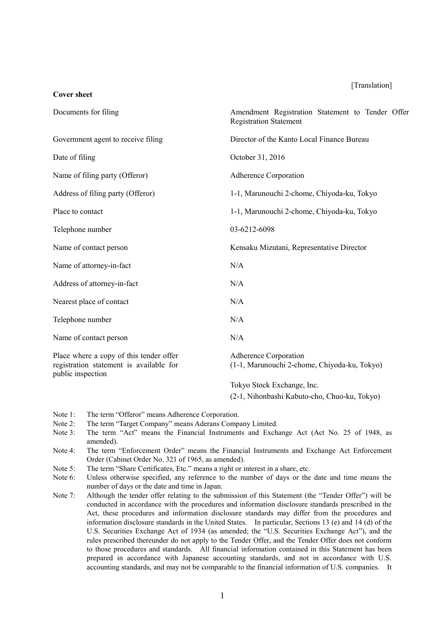### [Translation]

| Documents for filing                                                                                    | Amendment Registration Statement to Tender Offer<br><b>Registration Statement</b> |
|---------------------------------------------------------------------------------------------------------|-----------------------------------------------------------------------------------|
| Government agent to receive filing                                                                      | Director of the Kanto Local Finance Bureau                                        |
| Date of filing                                                                                          | October 31, 2016                                                                  |
| Name of filing party (Offeror)                                                                          | Adherence Corporation                                                             |
| Address of filing party (Offeror)                                                                       | 1-1, Marunouchi 2-chome, Chiyoda-ku, Tokyo                                        |
| Place to contact                                                                                        | 1-1, Marunouchi 2-chome, Chiyoda-ku, Tokyo                                        |
| Telephone number                                                                                        | 03-6212-6098                                                                      |
| Name of contact person                                                                                  | Kensaku Mizutani, Representative Director                                         |
| Name of attorney-in-fact                                                                                | N/A                                                                               |
| Address of attorney-in-fact                                                                             | N/A                                                                               |
| Nearest place of contact                                                                                | N/A                                                                               |
| Telephone number                                                                                        | N/A                                                                               |
| Name of contact person                                                                                  | N/A                                                                               |
| Place where a copy of this tender offer<br>registration statement is available for<br>public inspection | Adherence Corporation<br>(1-1, Marunouchi 2-chome, Chiyoda-ku, Tokyo)             |
|                                                                                                         | Tokyo Stock Exchange, Inc.                                                        |

(2-1, Nihonbashi Kabuto-cho, Chuo-ku, Tokyo)

Note 1: The term "Offeror" means Adherence Corporation.

**Cover sheet**

- Note 2: The term "Target Company" means Aderans Company Limited.
- Note 3: The term "Act" means the Financial Instruments and Exchange Act (Act No. 25 of 1948, as amended).
- Note 4: The term "Enforcement Order" means the Financial Instruments and Exchange Act Enforcement Order (Cabinet Order No. 321 of 1965, as amended).
- Note 5: The term "Share Certificates, Etc." means a right or interest in a share, etc.
- Note 6: Unless otherwise specified, any reference to the number of days or the date and time means the number of days or the date and time in Japan.
- Note 7: Although the tender offer relating to the submission of this Statement (the "Tender Offer") will be conducted in accordance with the procedures and information disclosure standards prescribed in the Act, these procedures and information disclosure standards may differ from the procedures and information disclosure standards in the United States. In particular, Sections 13 (e) and 14 (d) of the U.S. Securities Exchange Act of 1934 (as amended; the "U.S. Securities Exchange Act"), and the rules prescribed thereunder do not apply to the Tender Offer, and the Tender Offer does not conform to those procedures and standards. All financial information contained in this Statement has been prepared in accordance with Japanese accounting standards, and not in accordance with U.S. accounting standards, and may not be comparable to the financial information of U.S. companies. It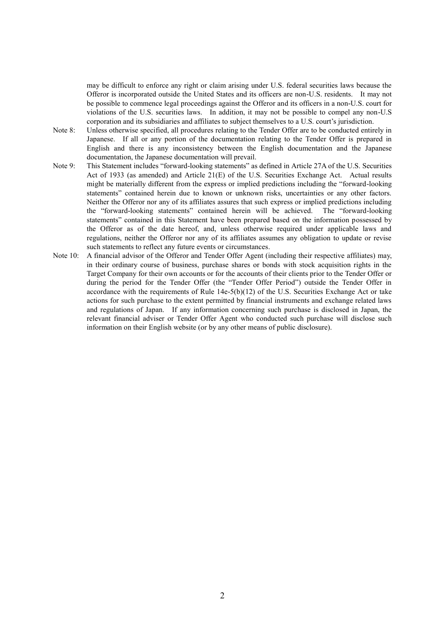may be difficult to enforce any right or claim arising under U.S. federal securities laws because the Offeror is incorporated outside the United States and its officers are non-U.S. residents. It may not be possible to commence legal proceedings against the Offeror and its officers in a non-U.S. court for violations of the U.S. securities laws. In addition, it may not be possible to compel any non-U.S corporation and its subsidiaries and affiliates to subject themselves to a U.S. court's jurisdiction.

- Note 8: Unless otherwise specified, all procedures relating to the Tender Offer are to be conducted entirely in Japanese. If all or any portion of the documentation relating to the Tender Offer is prepared in English and there is any inconsistency between the English documentation and the Japanese documentation, the Japanese documentation will prevail.
- Note 9: This Statement includes "forward-looking statements" as defined in Article 27A of the U.S. Securities Act of 1933 (as amended) and Article 21(E) of the U.S. Securities Exchange Act. Actual results might be materially different from the express or implied predictions including the "forward-looking statements" contained herein due to known or unknown risks, uncertainties or any other factors. Neither the Offeror nor any of its affiliates assures that such express or implied predictions including the "forward-looking statements" contained herein will be achieved. The "forward-looking statements" contained in this Statement have been prepared based on the information possessed by the Offeror as of the date hereof, and, unless otherwise required under applicable laws and regulations, neither the Offeror nor any of its affiliates assumes any obligation to update or revise such statements to reflect any future events or circumstances.
- Note 10: A financial advisor of the Offeror and Tender Offer Agent (including their respective affiliates) may, in their ordinary course of business, purchase shares or bonds with stock acquisition rights in the Target Company for their own accounts or for the accounts of their clients prior to the Tender Offer or during the period for the Tender Offer (the "Tender Offer Period") outside the Tender Offer in accordance with the requirements of Rule 14e-5(b)(12) of the U.S. Securities Exchange Act or take actions for such purchase to the extent permitted by financial instruments and exchange related laws and regulations of Japan. If any information concerning such purchase is disclosed in Japan, the relevant financial adviser or Tender Offer Agent who conducted such purchase will disclose such information on their English website (or by any other means of public disclosure).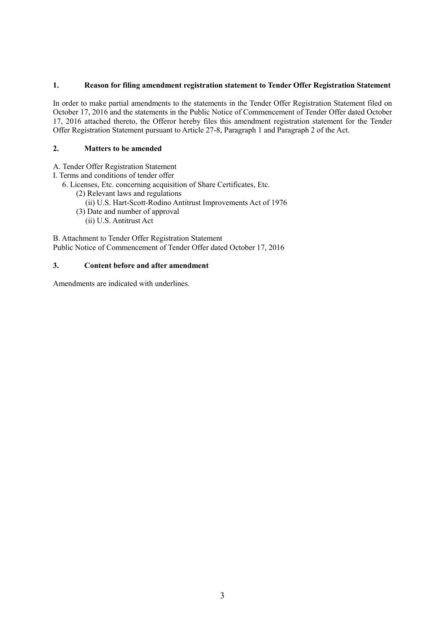## **1. Reason for filing amendment registration statement to Tender Offer Registration Statement**

In order to make partial amendments to the statements in the Tender Offer Registration Statement filed on October 17, 2016 and the statements in the Public Notice of Commencement of Tender Offer dated October 17, 2016 attached thereto, the Offeror hereby files this amendment registration statement for the Tender Offer Registration Statement pursuant to Article 27-8, Paragraph 1 and Paragraph 2 of the Act.

## **2. Matters to be amended**

A. Tender Offer Registration Statement

I. Terms and conditions of tender offer

6. Licenses, Etc. concerning acquisition of Share Certificates, Etc.

- (2) Relevant laws and regulations
	- (ii) U.S. Hart-Scott-Rodino Antitrust Improvements Act of 1976
- (3) Date and number of approval

(ii) U.S. Antitrust Act

B. Attachment to Tender Offer Registration Statement Public Notice of Commencement of Tender Offer dated October 17, 2016

# **3. Content before and after amendment**

Amendments are indicated with underlines.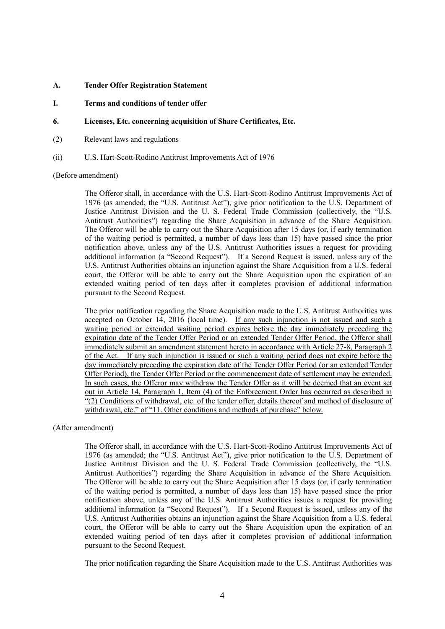- **A. Tender Offer Registration Statement**
- **I. Terms and conditions of tender offer**
- **6. Licenses, Etc. concerning acquisition of Share Certificates, Etc.**
- (2) Relevant laws and regulations
- (ii) U.S. Hart-Scott-Rodino Antitrust Improvements Act of 1976

(Before amendment)

The Offeror shall, in accordance with the U.S. Hart-Scott-Rodino Antitrust Improvements Act of 1976 (as amended; the "U.S. Antitrust Act"), give prior notification to the U.S. Department of Justice Antitrust Division and the U. S. Federal Trade Commission (collectively, the "U.S. Antitrust Authorities") regarding the Share Acquisition in advance of the Share Acquisition. The Offeror will be able to carry out the Share Acquisition after 15 days (or, if early termination of the waiting period is permitted, a number of days less than 15) have passed since the prior notification above, unless any of the U.S. Antitrust Authorities issues a request for providing additional information (a "Second Request"). If a Second Request is issued, unless any of the U.S. Antitrust Authorities obtains an injunction against the Share Acquisition from a U.S. federal court, the Offeror will be able to carry out the Share Acquisition upon the expiration of an extended waiting period of ten days after it completes provision of additional information pursuant to the Second Request.

The prior notification regarding the Share Acquisition made to the U.S. Antitrust Authorities was accepted on October 14, 2016 (local time). If any such injunction is not issued and such a waiting period or extended waiting period expires before the day immediately preceding the expiration date of the Tender Offer Period or an extended Tender Offer Period, the Offeror shall immediately submit an amendment statement hereto in accordance with Article 27-8, Paragraph 2 of the Act. If any such injunction is issued or such a waiting period does not expire before the day immediately preceding the expiration date of the Tender Offer Period (or an extended Tender Offer Period), the Tender Offer Period or the commencement date of settlement may be extended. In such cases, the Offeror may withdraw the Tender Offer as it will be deemed that an event set out in Article 14, Paragraph 1, Item (4) of the Enforcement Order has occurred as described in "(2) Conditions of withdrawal, etc. of the tender offer, details thereof and method of disclosure of withdrawal, etc." of "11. Other conditions and methods of purchase" below.

## (After amendment)

The Offeror shall, in accordance with the U.S. Hart-Scott-Rodino Antitrust Improvements Act of 1976 (as amended; the "U.S. Antitrust Act"), give prior notification to the U.S. Department of Justice Antitrust Division and the U. S. Federal Trade Commission (collectively, the "U.S. Antitrust Authorities") regarding the Share Acquisition in advance of the Share Acquisition. The Offeror will be able to carry out the Share Acquisition after 15 days (or, if early termination of the waiting period is permitted, a number of days less than 15) have passed since the prior notification above, unless any of the U.S. Antitrust Authorities issues a request for providing additional information (a "Second Request"). If a Second Request is issued, unless any of the U.S. Antitrust Authorities obtains an injunction against the Share Acquisition from a U.S. federal court, the Offeror will be able to carry out the Share Acquisition upon the expiration of an extended waiting period of ten days after it completes provision of additional information pursuant to the Second Request.

The prior notification regarding the Share Acquisition made to the U.S. Antitrust Authorities was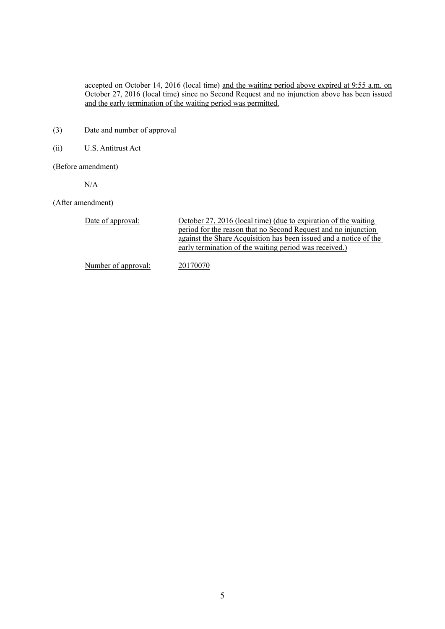accepted on October 14, 2016 (local time) and the waiting period above expired at 9:55 a.m. on October 27, 2016 (local time) since no Second Request and no injunction above has been issued and the early termination of the waiting period was permitted.

- (3) Date and number of approval
- (ii) U.S. Antitrust Act

(Before amendment)

N/A

(After amendment)

| Date of approval:   | October 27, 2016 (local time) (due to expiration of the waiting<br>period for the reason that no Second Request and no injunction<br>against the Share Acquisition has been issued and a notice of the<br>early termination of the waiting period was received.) |
|---------------------|------------------------------------------------------------------------------------------------------------------------------------------------------------------------------------------------------------------------------------------------------------------|
| Number of approval: | 20170070                                                                                                                                                                                                                                                         |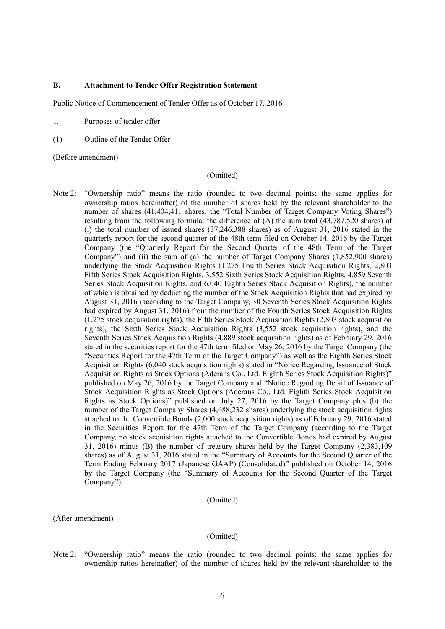## **B. Attachment to Tender Offer Registration Statement**

Public Notice of Commencement of Tender Offer as of October 17, 2016

- 1. Purposes of tender offer
- (1) Outline of the Tender Offer

(Before amendment)

### (Omitted)

Note 2: "Ownership ratio" means the ratio (rounded to two decimal points; the same applies for ownership ratios hereinafter) of the number of shares held by the relevant shareholder to the number of shares (41,404,411 shares; the "Total Number of Target Company Voting Shares") resulting from the following formula: the difference of (A) the sum total (43,787,520 shares) of (i) the total number of issued shares (37,246,388 shares) as of August 31, 2016 stated in the quarterly report for the second quarter of the 48th term filed on October 14, 2016 by the Target Company (the "Quarterly Report for the Second Quarter of the 48th Term of the Target Company") and (ii) the sum of (a) the number of Target Company Shares (1,852,900 shares) underlying the Stock Acquisition Rights (1,275 Fourth Series Stock Acquisition Rights, 2,803 Fifth Series Stock Acquisition Rights, 3,552 Sixth Series Stock Acquisition Rights, 4,859 Seventh Series Stock Acquisition Rights, and 6,040 Eighth Series Stock Acquisition Rights), the number of which is obtained by deducting the number of the Stock Acquisition Rights that had expired by August 31, 2016 (according to the Target Company, 30 Seventh Series Stock Acquisition Rights had expired by August 31, 2016) from the number of the Fourth Series Stock Acquisition Rights (1,275 stock acquisition rights), the Fifth Series Stock Acquisition Rights (2,803 stock acquisition rights), the Sixth Series Stock Acquisition Rights (3,552 stock acquisition rights), and the Seventh Series Stock Acquisition Rights (4,889 stock acquisition rights) as of February 29, 2016 stated in the securities report for the 47th term filed on May 26, 2016 by the Target Company (the "Securities Report for the 47th Term of the Target Company") as well as the Eighth Series Stock Acquisition Rights (6,040 stock acquisition rights) stated in "Notice Regarding Issuance of Stock Acquisition Rights as Stock Options (Aderans Co., Ltd. Eighth Series Stock Acquisition Rights)" published on May 26, 2016 by the Target Company and "Notice Regarding Detail of Issuance of Stock Acquisition Rights as Stock Options (Aderans Co., Ltd. Eighth Series Stock Acquisition Rights as Stock Options)" published on July 27, 2016 by the Target Company plus (b) the number of the Target Company Shares (4,688,232 shares) underlying the stock acquisition rights attached to the Convertible Bonds (2,000 stock acquisition rights) as of February 29, 2016 stated in the Securities Report for the 47th Term of the Target Company (according to the Target Company, no stock acquisition rights attached to the Convertible Bonds had expired by August 31, 2016) minus (B) the number of treasury shares held by the Target Company (2,383,109 shares) as of August 31, 2016 stated in the "Summary of Accounts for the Second Quarter of the Term Ending February 2017 (Japanese GAAP) (Consolidated)" published on October 14, 2016 by the Target Company (the "Summary of Accounts for the Second Quarter of the Target Company").

#### (Omitted)

(After amendment)

#### (Omitted)

Note 2: "Ownership ratio" means the ratio (rounded to two decimal points; the same applies for ownership ratios hereinafter) of the number of shares held by the relevant shareholder to the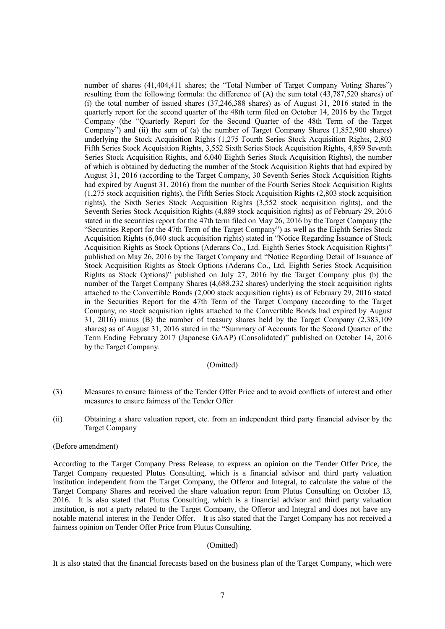number of shares (41,404,411 shares; the "Total Number of Target Company Voting Shares") resulting from the following formula: the difference of (A) the sum total (43,787,520 shares) of (i) the total number of issued shares (37,246,388 shares) as of August 31, 2016 stated in the quarterly report for the second quarter of the 48th term filed on October 14, 2016 by the Target Company (the "Quarterly Report for the Second Quarter of the 48th Term of the Target Company") and (ii) the sum of (a) the number of Target Company Shares (1,852,900 shares) underlying the Stock Acquisition Rights (1,275 Fourth Series Stock Acquisition Rights, 2,803 Fifth Series Stock Acquisition Rights, 3,552 Sixth Series Stock Acquisition Rights, 4,859 Seventh Series Stock Acquisition Rights, and 6,040 Eighth Series Stock Acquisition Rights), the number of which is obtained by deducting the number of the Stock Acquisition Rights that had expired by August 31, 2016 (according to the Target Company, 30 Seventh Series Stock Acquisition Rights had expired by August 31, 2016) from the number of the Fourth Series Stock Acquisition Rights (1,275 stock acquisition rights), the Fifth Series Stock Acquisition Rights (2,803 stock acquisition rights), the Sixth Series Stock Acquisition Rights (3,552 stock acquisition rights), and the Seventh Series Stock Acquisition Rights (4,889 stock acquisition rights) as of February 29, 2016 stated in the securities report for the 47th term filed on May 26, 2016 by the Target Company (the "Securities Report for the 47th Term of the Target Company") as well as the Eighth Series Stock Acquisition Rights (6,040 stock acquisition rights) stated in "Notice Regarding Issuance of Stock Acquisition Rights as Stock Options (Aderans Co., Ltd. Eighth Series Stock Acquisition Rights)" published on May 26, 2016 by the Target Company and "Notice Regarding Detail of Issuance of Stock Acquisition Rights as Stock Options (Aderans Co., Ltd. Eighth Series Stock Acquisition Rights as Stock Options)" published on July 27, 2016 by the Target Company plus (b) the number of the Target Company Shares (4,688,232 shares) underlying the stock acquisition rights attached to the Convertible Bonds (2,000 stock acquisition rights) as of February 29, 2016 stated in the Securities Report for the 47th Term of the Target Company (according to the Target Company, no stock acquisition rights attached to the Convertible Bonds had expired by August 31, 2016) minus (B) the number of treasury shares held by the Target Company (2,383,109 shares) as of August 31, 2016 stated in the "Summary of Accounts for the Second Quarter of the Term Ending February 2017 (Japanese GAAP) (Consolidated)" published on October 14, 2016 by the Target Company.

## (Omitted)

- (3) Measures to ensure fairness of the Tender Offer Price and to avoid conflicts of interest and other measures to ensure fairness of the Tender Offer
- (ii) Obtaining a share valuation report, etc. from an independent third party financial advisor by the Target Company

### (Before amendment)

According to the Target Company Press Release, to express an opinion on the Tender Offer Price, the Target Company requested Plutus Consulting, which is a financial advisor and third party valuation institution independent from the Target Company, the Offeror and Integral, to calculate the value of the Target Company Shares and received the share valuation report from Plutus Consulting on October 13, 2016. It is also stated that Plutus Consulting, which is a financial advisor and third party valuation institution, is not a party related to the Target Company, the Offeror and Integral and does not have any notable material interest in the Tender Offer. It is also stated that the Target Company has not received a fairness opinion on Tender Offer Price from Plutus Consulting.

### (Omitted)

It is also stated that the financial forecasts based on the business plan of the Target Company, which were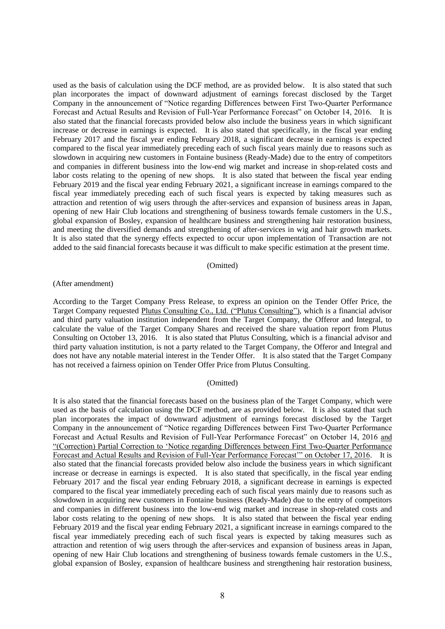used as the basis of calculation using the DCF method, are as provided below. It is also stated that such plan incorporates the impact of downward adjustment of earnings forecast disclosed by the Target Company in the announcement of "Notice regarding Differences between First Two-Quarter Performance Forecast and Actual Results and Revision of Full-Year Performance Forecast" on October 14, 2016. It is also stated that the financial forecasts provided below also include the business years in which significant increase or decrease in earnings is expected. It is also stated that specifically, in the fiscal year ending February 2017 and the fiscal year ending February 2018, a significant decrease in earnings is expected compared to the fiscal year immediately preceding each of such fiscal years mainly due to reasons such as slowdown in acquiring new customers in Fontaine business (Ready-Made) due to the entry of competitors and companies in different business into the low-end wig market and increase in shop-related costs and labor costs relating to the opening of new shops. It is also stated that between the fiscal year ending February 2019 and the fiscal year ending February 2021, a significant increase in earnings compared to the fiscal year immediately preceding each of such fiscal years is expected by taking measures such as attraction and retention of wig users through the after-services and expansion of business areas in Japan, opening of new Hair Club locations and strengthening of business towards female customers in the U.S., global expansion of Bosley, expansion of healthcare business and strengthening hair restoration business, and meeting the diversified demands and strengthening of after-services in wig and hair growth markets. It is also stated that the synergy effects expected to occur upon implementation of Transaction are not added to the said financial forecasts because it was difficult to make specific estimation at the present time.

### (Omitted)

#### (After amendment)

According to the Target Company Press Release, to express an opinion on the Tender Offer Price, the Target Company requested Plutus Consulting Co., Ltd. ("Plutus Consulting"), which is a financial advisor and third party valuation institution independent from the Target Company, the Offeror and Integral, to calculate the value of the Target Company Shares and received the share valuation report from Plutus Consulting on October 13, 2016. It is also stated that Plutus Consulting, which is a financial advisor and third party valuation institution, is not a party related to the Target Company, the Offeror and Integral and does not have any notable material interest in the Tender Offer. It is also stated that the Target Company has not received a fairness opinion on Tender Offer Price from Plutus Consulting.

#### (Omitted)

It is also stated that the financial forecasts based on the business plan of the Target Company, which were used as the basis of calculation using the DCF method, are as provided below. It is also stated that such plan incorporates the impact of downward adjustment of earnings forecast disclosed by the Target Company in the announcement of "Notice regarding Differences between First Two-Quarter Performance Forecast and Actual Results and Revision of Full-Year Performance Forecast" on October 14, 2016 and "(Correction) Partial Correction to 'Notice regarding Differences between First Two-Quarter Performance Forecast and Actual Results and Revision of Full-Year Performance Forecast'" on October 17, 2016. It is also stated that the financial forecasts provided below also include the business years in which significant increase or decrease in earnings is expected. It is also stated that specifically, in the fiscal year ending February 2017 and the fiscal year ending February 2018, a significant decrease in earnings is expected compared to the fiscal year immediately preceding each of such fiscal years mainly due to reasons such as slowdown in acquiring new customers in Fontaine business (Ready-Made) due to the entry of competitors and companies in different business into the low-end wig market and increase in shop-related costs and labor costs relating to the opening of new shops. It is also stated that between the fiscal year ending February 2019 and the fiscal year ending February 2021, a significant increase in earnings compared to the fiscal year immediately preceding each of such fiscal years is expected by taking measures such as attraction and retention of wig users through the after-services and expansion of business areas in Japan, opening of new Hair Club locations and strengthening of business towards female customers in the U.S., global expansion of Bosley, expansion of healthcare business and strengthening hair restoration business,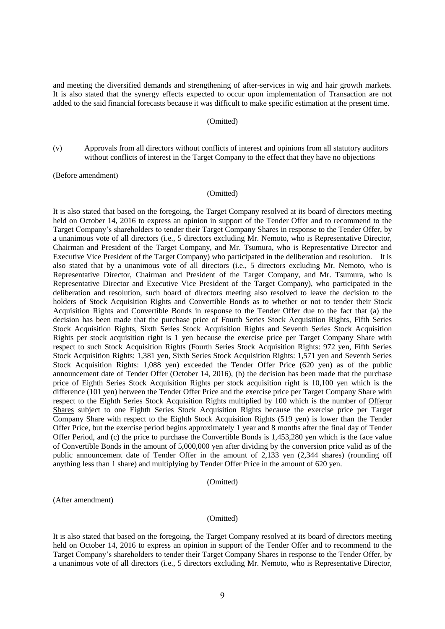and meeting the diversified demands and strengthening of after-services in wig and hair growth markets. It is also stated that the synergy effects expected to occur upon implementation of Transaction are not added to the said financial forecasts because it was difficult to make specific estimation at the present time.

#### (Omitted)

(v) Approvals from all directors without conflicts of interest and opinions from all statutory auditors without conflicts of interest in the Target Company to the effect that they have no objections

(Before amendment)

#### (Omitted)

It is also stated that based on the foregoing, the Target Company resolved at its board of directors meeting held on October 14, 2016 to express an opinion in support of the Tender Offer and to recommend to the Target Company's shareholders to tender their Target Company Shares in response to the Tender Offer, by a unanimous vote of all directors (i.e., 5 directors excluding Mr. Nemoto, who is Representative Director, Chairman and President of the Target Company, and Mr. Tsumura, who is Representative Director and Executive Vice President of the Target Company) who participated in the deliberation and resolution. It is also stated that by a unanimous vote of all directors (i.e., 5 directors excluding Mr. Nemoto, who is Representative Director, Chairman and President of the Target Company, and Mr. Tsumura, who is Representative Director and Executive Vice President of the Target Company), who participated in the deliberation and resolution, such board of directors meeting also resolved to leave the decision to the holders of Stock Acquisition Rights and Convertible Bonds as to whether or not to tender their Stock Acquisition Rights and Convertible Bonds in response to the Tender Offer due to the fact that (a) the decision has been made that the purchase price of Fourth Series Stock Acquisition Rights, Fifth Series Stock Acquisition Rights, Sixth Series Stock Acquisition Rights and Seventh Series Stock Acquisition Rights per stock acquisition right is 1 yen because the exercise price per Target Company Share with respect to such Stock Acquisition Rights (Fourth Series Stock Acquisition Rights: 972 yen, Fifth Series Stock Acquisition Rights: 1,381 yen, Sixth Series Stock Acquisition Rights: 1,571 yen and Seventh Series Stock Acquisition Rights: 1,088 yen) exceeded the Tender Offer Price (620 yen) as of the public announcement date of Tender Offer (October 14, 2016), (b) the decision has been made that the purchase price of Eighth Series Stock Acquisition Rights per stock acquisition right is 10,100 yen which is the difference (101 yen) between the Tender Offer Price and the exercise price per Target Company Share with respect to the Eighth Series Stock Acquisition Rights multiplied by 100 which is the number of Offeror Shares subject to one Eighth Series Stock Acquisition Rights because the exercise price per Target Company Share with respect to the Eighth Stock Acquisition Rights (519 yen) is lower than the Tender Offer Price, but the exercise period begins approximately 1 year and 8 months after the final day of Tender Offer Period, and (c) the price to purchase the Convertible Bonds is 1,453,280 yen which is the face value of Convertible Bonds in the amount of 5,000,000 yen after dividing by the conversion price valid as of the public announcement date of Tender Offer in the amount of 2,133 yen (2,344 shares) (rounding off anything less than 1 share) and multiplying by Tender Offer Price in the amount of 620 yen.

#### (Omitted)

(After amendment)

## (Omitted)

It is also stated that based on the foregoing, the Target Company resolved at its board of directors meeting held on October 14, 2016 to express an opinion in support of the Tender Offer and to recommend to the Target Company's shareholders to tender their Target Company Shares in response to the Tender Offer, by a unanimous vote of all directors (i.e., 5 directors excluding Mr. Nemoto, who is Representative Director,